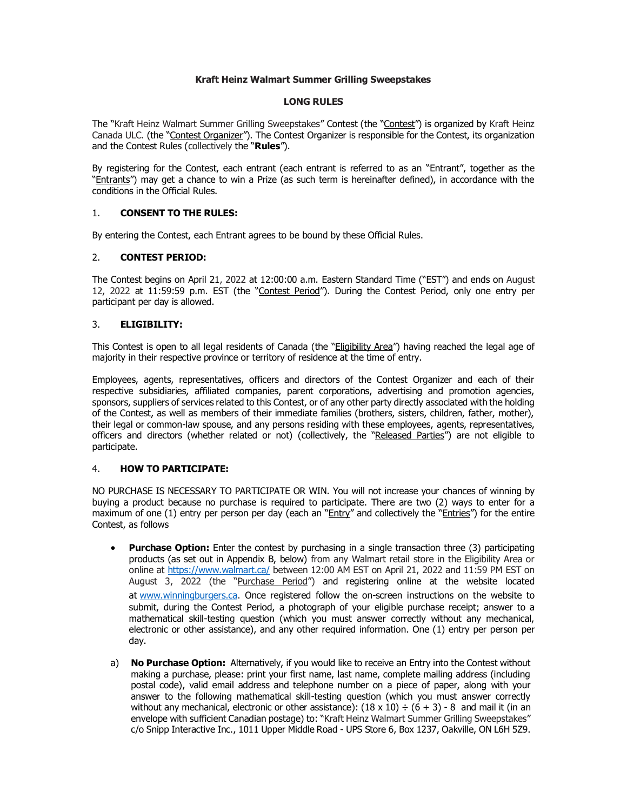## **Kraft Heinz Walmart Summer Grilling Sweepstakes**

## **LONG RULES**

The "Kraft Heinz Walmart Summer Grilling Sweepstakes" Contest (the "Contest") is organized by Kraft Heinz Canada ULC. (the "Contest Organizer"). The Contest Organizer is responsible for the Contest, its organization and the Contest Rules (collectively the "**Rules**").

By registering for the Contest, each entrant (each entrant is referred to as an "Entrant", together as the "Entrants") may get a chance to win a Prize (as such term is hereinafter defined), in accordance with the conditions in the Official Rules.

## 1. **CONSENT TO THE RULES:**

By entering the Contest, each Entrant agrees to be bound by these Official Rules.

## 2. **CONTEST PERIOD:**

The Contest begins on April 21, 2022 at 12:00:00 a.m. Eastern Standard Time ("EST") and ends on August 12, 2022 at 11:59:59 p.m. EST (the "Contest Period"). During the Contest Period, only one entry per participant per day is allowed.

## 3. **ELIGIBILITY:**

This Contest is open to all legal residents of Canada (the "Eligibility Area") having reached the legal age of majority in their respective province or territory of residence at the time of entry.

Employees, agents, representatives, officers and directors of the Contest Organizer and each of their respective subsidiaries, affiliated companies, parent corporations, advertising and promotion agencies, sponsors, suppliers of services related to this Contest, or of any other party directly associated with the holding of the Contest, as well as members of their immediate families (brothers, sisters, children, father, mother), their legal or common-law spouse, and any persons residing with these employees, agents, representatives, officers and directors (whether related or not) (collectively, the "Released Parties") are not eligible to participate.

## 4. **HOW TO PARTICIPATE:**

NO PURCHASE IS NECESSARY TO PARTICIPATE OR WIN. You will not increase your chances of winning by buying a product because no purchase is required to participate. There are two (2) ways to enter for a maximum of one (1) entry per person per day (each an " $Entry''$  and collectively the "Entries") for the entire Contest, as follows

- **Purchase Option:** Enter the contest by purchasing in a single transaction three (3) participating products (as set out in Appendix B, below) from any Walmart retail store in the Eligibility Area or online at<https://www.walmart.ca/> between 12:00 AM EST on April 21, 2022 and 11:59 PM EST on August 3, 2022 (the "Purchase Period") and registering online at the website located at [www.winningburgers.ca.](http://www.winningburgers.ca/) Once registered follow the on-screen instructions on the website to submit, during the Contest Period, a photograph of your eligible purchase receipt; answer to a mathematical skill-testing question (which you must answer correctly without any mechanical, electronic or other assistance), and any other required information. One (1) entry per person per day.
- a) **No Purchase Option:** Alternatively, if you would like to receive an Entry into the Contest without making a purchase, please: print your first name, last name, complete mailing address (including postal code), valid email address and telephone number on a piece of paper, along with your answer to the following mathematical skill-testing question (which you must answer correctly without any mechanical, electronic or other assistance):  $(18 \times 10) \div (6 + 3)$  - 8 and mail it (in an envelope with sufficient Canadian postage) to: "Kraft Heinz Walmart Summer Grilling Sweepstakes" c/o Snipp Interactive Inc., 1011 Upper Middle Road - UPS Store 6, Box 1237, Oakville, ON L6H 5Z9.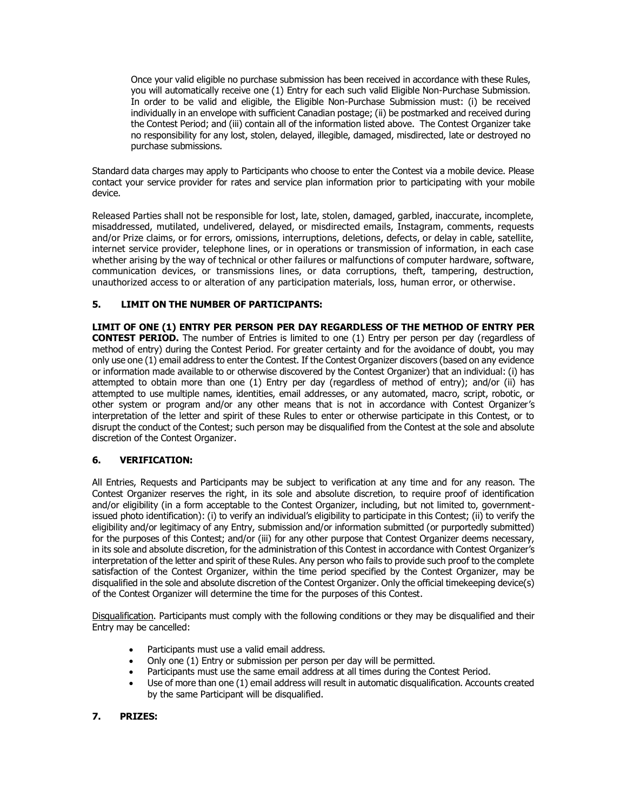Once your valid eligible no purchase submission has been received in accordance with these Rules, you will automatically receive one (1) Entry for each such valid Eligible Non-Purchase Submission. In order to be valid and eligible, the Eligible Non-Purchase Submission must: (i) be received individually in an envelope with sufficient Canadian postage; (ii) be postmarked and received during the Contest Period; and (iii) contain all of the information listed above. The Contest Organizer take no responsibility for any lost, stolen, delayed, illegible, damaged, misdirected, late or destroyed no purchase submissions.

Standard data charges may apply to Participants who choose to enter the Contest via a mobile device. Please contact your service provider for rates and service plan information prior to participating with your mobile device.

Released Parties shall not be responsible for lost, late, stolen, damaged, garbled, inaccurate, incomplete, misaddressed, mutilated, undelivered, delayed, or misdirected emails, Instagram, comments, requests and/or Prize claims, or for errors, omissions, interruptions, deletions, defects, or delay in cable, satellite, internet service provider, telephone lines, or in operations or transmission of information, in each case whether arising by the way of technical or other failures or malfunctions of computer hardware, software, communication devices, or transmissions lines, or data corruptions, theft, tampering, destruction, unauthorized access to or alteration of any participation materials, loss, human error, or otherwise.

## **5. LIMIT ON THE NUMBER OF PARTICIPANTS:**

**LIMIT OF ONE (1) ENTRY PER PERSON PER DAY REGARDLESS OF THE METHOD OF ENTRY PER CONTEST PERIOD.** The number of Entries is limited to one (1) Entry per person per day (regardless of method of entry) during the Contest Period. For greater certainty and for the avoidance of doubt, you may only use one (1) email address to enter the Contest. If the Contest Organizer discovers (based on any evidence or information made available to or otherwise discovered by the Contest Organizer) that an individual: (i) has attempted to obtain more than one (1) Entry per day (regardless of method of entry); and/or (ii) has attempted to use multiple names, identities, email addresses, or any automated, macro, script, robotic, or other system or program and/or any other means that is not in accordance with Contest Organizer's interpretation of the letter and spirit of these Rules to enter or otherwise participate in this Contest, or to disrupt the conduct of the Contest; such person may be disqualified from the Contest at the sole and absolute discretion of the Contest Organizer.

## **6. VERIFICATION:**

All Entries, Requests and Participants may be subject to verification at any time and for any reason. The Contest Organizer reserves the right, in its sole and absolute discretion, to require proof of identification and/or eligibility (in a form acceptable to the Contest Organizer, including, but not limited to, governmentissued photo identification): (i) to verify an individual's eligibility to participate in this Contest; (ii) to verify the eligibility and/or legitimacy of any Entry, submission and/or information submitted (or purportedly submitted) for the purposes of this Contest; and/or (iii) for any other purpose that Contest Organizer deems necessary, in its sole and absolute discretion, for the administration of this Contest in accordance with Contest Organizer's interpretation of the letter and spirit of these Rules. Any person who fails to provide such proof to the complete satisfaction of the Contest Organizer, within the time period specified by the Contest Organizer, may be disqualified in the sole and absolute discretion of the Contest Organizer. Only the official timekeeping device(s) of the Contest Organizer will determine the time for the purposes of this Contest.

Disqualification. Participants must comply with the following conditions or they may be disqualified and their Entry may be cancelled:

- Participants must use a valid email address.
- Only one (1) Entry or submission per person per day will be permitted.
- Participants must use the same email address at all times during the Contest Period.
- Use of more than one (1) email address will result in automatic disqualification. Accounts created by the same Participant will be disqualified.
- **7. PRIZES:**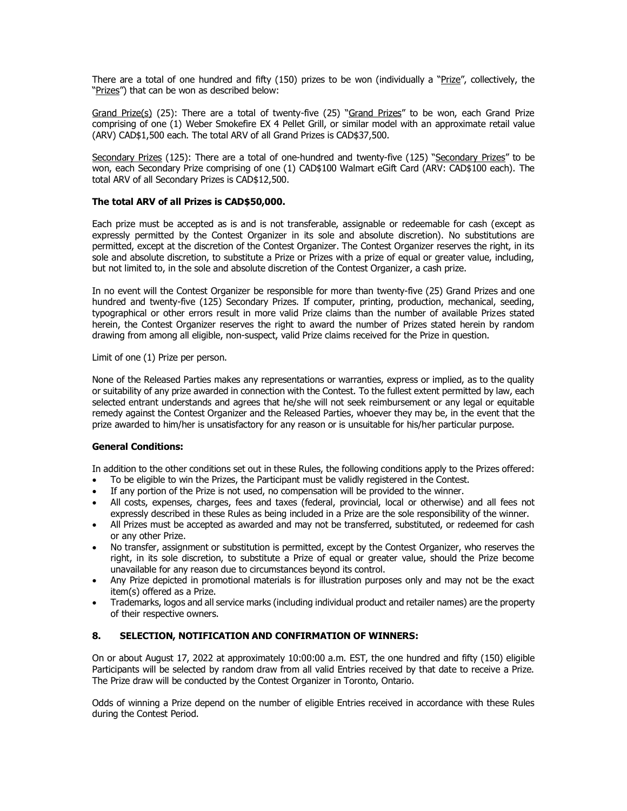There are a total of one hundred and fifty (150) prizes to be won (individually a "Prize", collectively, the "Prizes") that can be won as described below:

Grand Prize(s) (25): There are a total of twenty-five (25) "Grand Prizes" to be won, each Grand Prize comprising of one (1) Weber Smokefire EX 4 Pellet Grill, or similar model with an approximate retail value (ARV) CAD\$1,500 each. The total ARV of all Grand Prizes is CAD\$37,500.

Secondary Prizes (125): There are a total of one-hundred and twenty-five (125) "Secondary Prizes" to be won, each Secondary Prize comprising of one (1) CAD\$100 Walmart eGift Card (ARV: CAD\$100 each). The total ARV of all Secondary Prizes is CAD\$12,500.

## **The total ARV of all Prizes is CAD\$50,000.**

Each prize must be accepted as is and is not transferable, assignable or redeemable for cash (except as expressly permitted by the Contest Organizer in its sole and absolute discretion). No substitutions are permitted, except at the discretion of the Contest Organizer. The Contest Organizer reserves the right, in its sole and absolute discretion, to substitute a Prize or Prizes with a prize of equal or greater value, including, but not limited to, in the sole and absolute discretion of the Contest Organizer, a cash prize.

In no event will the Contest Organizer be responsible for more than twenty-five (25) Grand Prizes and one hundred and twenty-five (125) Secondary Prizes. If computer, printing, production, mechanical, seeding, typographical or other errors result in more valid Prize claims than the number of available Prizes stated herein, the Contest Organizer reserves the right to award the number of Prizes stated herein by random drawing from among all eligible, non-suspect, valid Prize claims received for the Prize in question.

Limit of one (1) Prize per person.

None of the Released Parties makes any representations or warranties, express or implied, as to the quality or suitability of any prize awarded in connection with the Contest. To the fullest extent permitted by law, each selected entrant understands and agrees that he/she will not seek reimbursement or any legal or equitable remedy against the Contest Organizer and the Released Parties, whoever they may be, in the event that the prize awarded to him/her is unsatisfactory for any reason or is unsuitable for his/her particular purpose.

#### **General Conditions:**

In addition to the other conditions set out in these Rules, the following conditions apply to the Prizes offered:

- To be eligible to win the Prizes, the Participant must be validly registered in the Contest.
- If any portion of the Prize is not used, no compensation will be provided to the winner.
- All costs, expenses, charges, fees and taxes (federal, provincial, local or otherwise) and all fees not expressly described in these Rules as being included in a Prize are the sole responsibility of the winner.
- All Prizes must be accepted as awarded and may not be transferred, substituted, or redeemed for cash or any other Prize.
- No transfer, assignment or substitution is permitted, except by the Contest Organizer, who reserves the right, in its sole discretion, to substitute a Prize of equal or greater value, should the Prize become unavailable for any reason due to circumstances beyond its control.
- Any Prize depicted in promotional materials is for illustration purposes only and may not be the exact item(s) offered as a Prize.
- Trademarks, logos and all service marks (including individual product and retailer names) are the property of their respective owners.

## **8. SELECTION, NOTIFICATION AND CONFIRMATION OF WINNERS:**

On or about August 17, 2022 at approximately 10:00:00 a.m. EST, the one hundred and fifty (150) eligible Participants will be selected by random draw from all valid Entries received by that date to receive a Prize. The Prize draw will be conducted by the Contest Organizer in Toronto, Ontario.

Odds of winning a Prize depend on the number of eligible Entries received in accordance with these Rules during the Contest Period.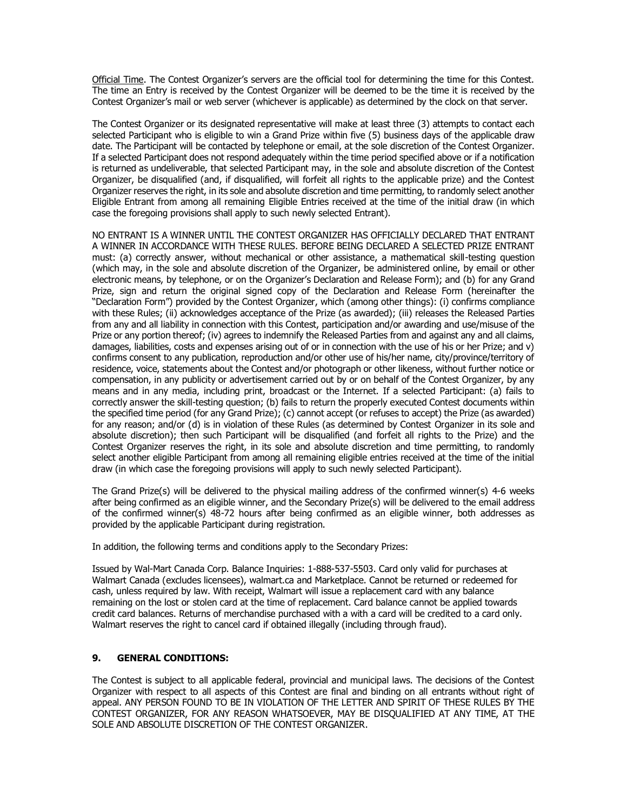Official Time. The Contest Organizer's servers are the official tool for determining the time for this Contest. The time an Entry is received by the Contest Organizer will be deemed to be the time it is received by the Contest Organizer's mail or web server (whichever is applicable) as determined by the clock on that server.

The Contest Organizer or its designated representative will make at least three (3) attempts to contact each selected Participant who is eligible to win a Grand Prize within five (5) business days of the applicable draw date. The Participant will be contacted by telephone or email, at the sole discretion of the Contest Organizer. If a selected Participant does not respond adequately within the time period specified above or if a notification is returned as undeliverable, that selected Participant may, in the sole and absolute discretion of the Contest Organizer, be disqualified (and, if disqualified, will forfeit all rights to the applicable prize) and the Contest Organizer reserves the right, in its sole and absolute discretion and time permitting, to randomly select another Eligible Entrant from among all remaining Eligible Entries received at the time of the initial draw (in which case the foregoing provisions shall apply to such newly selected Entrant).

NO ENTRANT IS A WINNER UNTIL THE CONTEST ORGANIZER HAS OFFICIALLY DECLARED THAT ENTRANT A WINNER IN ACCORDANCE WITH THESE RULES. BEFORE BEING DECLARED A SELECTED PRIZE ENTRANT must: (a) correctly answer, without mechanical or other assistance, a mathematical skill-testing question (which may, in the sole and absolute discretion of the Organizer, be administered online, by email or other electronic means, by telephone, or on the Organizer's Declaration and Release Form); and (b) for any Grand Prize, sign and return the original signed copy of the Declaration and Release Form (hereinafter the "Declaration Form") provided by the Contest Organizer, which (among other things): (i) confirms compliance with these Rules; (ii) acknowledges acceptance of the Prize (as awarded); (iii) releases the Released Parties from any and all liability in connection with this Contest, participation and/or awarding and use/misuse of the Prize or any portion thereof; (iv) agrees to indemnify the Released Parties from and against any and all claims, damages, liabilities, costs and expenses arising out of or in connection with the use of his or her Prize; and v) confirms consent to any publication, reproduction and/or other use of his/her name, city/province/territory of residence, voice, statements about the Contest and/or photograph or other likeness, without further notice or compensation, in any publicity or advertisement carried out by or on behalf of the Contest Organizer, by any means and in any media, including print, broadcast or the Internet. If a selected Participant: (a) fails to correctly answer the skill-testing question; (b) fails to return the properly executed Contest documents within the specified time period (for any Grand Prize); (c) cannot accept (or refuses to accept) the Prize (as awarded) for any reason; and/or (d) is in violation of these Rules (as determined by Contest Organizer in its sole and absolute discretion); then such Participant will be disqualified (and forfeit all rights to the Prize) and the Contest Organizer reserves the right, in its sole and absolute discretion and time permitting, to randomly select another eligible Participant from among all remaining eligible entries received at the time of the initial draw (in which case the foregoing provisions will apply to such newly selected Participant).

The Grand Prize(s) will be delivered to the physical mailing address of the confirmed winner(s) 4-6 weeks after being confirmed as an eligible winner, and the Secondary Prize(s) will be delivered to the email address of the confirmed winner(s) 48-72 hours after being confirmed as an eligible winner, both addresses as provided by the applicable Participant during registration.

In addition, the following terms and conditions apply to the Secondary Prizes:

Issued by Wal-Mart Canada Corp. Balance Inquiries: 1-888-537-5503. Card only valid for purchases at Walmart Canada (excludes licensees), walmart.ca and Marketplace. Cannot be returned or redeemed for cash, unless required by law. With receipt, Walmart will issue a replacement card with any balance remaining on the lost or stolen card at the time of replacement. Card balance cannot be applied towards credit card balances. Returns of merchandise purchased with a with a card will be credited to a card only. Walmart reserves the right to cancel card if obtained illegally (including through fraud).

## **9. GENERAL CONDITIONS:**

The Contest is subject to all applicable federal, provincial and municipal laws. The decisions of the Contest Organizer with respect to all aspects of this Contest are final and binding on all entrants without right of appeal. ANY PERSON FOUND TO BE IN VIOLATION OF THE LETTER AND SPIRIT OF THESE RULES BY THE CONTEST ORGANIZER, FOR ANY REASON WHATSOEVER, MAY BE DISQUALIFIED AT ANY TIME, AT THE SOLE AND ABSOLUTE DISCRETION OF THE CONTEST ORGANIZER.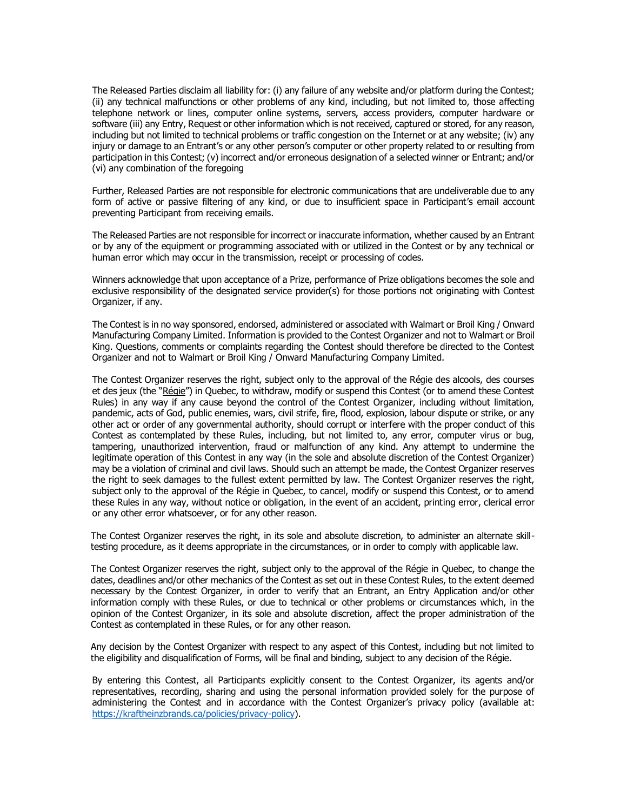The Released Parties disclaim all liability for: (i) any failure of any website and/or platform during the Contest; (ii) any technical malfunctions or other problems of any kind, including, but not limited to, those affecting telephone network or lines, computer online systems, servers, access providers, computer hardware or software (iii) any Entry, Request or other information which is not received, captured or stored, for any reason, including but not limited to technical problems or traffic congestion on the Internet or at any website; (iv) any injury or damage to an Entrant's or any other person's computer or other property related to or resulting from participation in this Contest; (v) incorrect and/or erroneous designation of a selected winner or Entrant; and/or (vi) any combination of the foregoing

Further, Released Parties are not responsible for electronic communications that are undeliverable due to any form of active or passive filtering of any kind, or due to insufficient space in Participant's email account preventing Participant from receiving emails.

The Released Parties are not responsible for incorrect or inaccurate information, whether caused by an Entrant or by any of the equipment or programming associated with or utilized in the Contest or by any technical or human error which may occur in the transmission, receipt or processing of codes.

Winners acknowledge that upon acceptance of a Prize, performance of Prize obligations becomes the sole and exclusive responsibility of the designated service provider(s) for those portions not originating with Contest Organizer, if any.

The Contest is in no way sponsored, endorsed, administered or associated with Walmart or Broil King / Onward Manufacturing Company Limited. Information is provided to the Contest Organizer and not to Walmart or Broil King. Questions, comments or complaints regarding the Contest should therefore be directed to the Contest Organizer and not to Walmart or Broil King / Onward Manufacturing Company Limited.

The Contest Organizer reserves the right, subject only to the approval of the Régie des alcools, des courses et des jeux (the "Régie") in Quebec, to withdraw, modify or suspend this Contest (or to amend these Contest Rules) in any way if any cause beyond the control of the Contest Organizer, including without limitation, pandemic, acts of God, public enemies, wars, civil strife, fire, flood, explosion, labour dispute or strike, or any other act or order of any governmental authority, should corrupt or interfere with the proper conduct of this Contest as contemplated by these Rules, including, but not limited to, any error, computer virus or bug, tampering, unauthorized intervention, fraud or malfunction of any kind. Any attempt to undermine the legitimate operation of this Contest in any way (in the sole and absolute discretion of the Contest Organizer) may be a violation of criminal and civil laws. Should such an attempt be made, the Contest Organizer reserves the right to seek damages to the fullest extent permitted by law. The Contest Organizer reserves the right, subject only to the approval of the Régie in Quebec, to cancel, modify or suspend this Contest, or to amend these Rules in any way, without notice or obligation, in the event of an accident, printing error, clerical error or any other error whatsoever, or for any other reason.

The Contest Organizer reserves the right, in its sole and absolute discretion, to administer an alternate skilltesting procedure, as it deems appropriate in the circumstances, or in order to comply with applicable law.

The Contest Organizer reserves the right, subject only to the approval of the Régie in Quebec, to change the dates, deadlines and/or other mechanics of the Contest as set out in these Contest Rules, to the extent deemed necessary by the Contest Organizer, in order to verify that an Entrant, an Entry Application and/or other information comply with these Rules, or due to technical or other problems or circumstances which, in the opinion of the Contest Organizer, in its sole and absolute discretion, affect the proper administration of the Contest as contemplated in these Rules, or for any other reason.

Any decision by the Contest Organizer with respect to any aspect of this Contest, including but not limited to the eligibility and disqualification of Forms, will be final and binding, subject to any decision of the Régie.

By entering this Contest, all Participants explicitly consent to the Contest Organizer, its agents and/or representatives, recording, sharing and using the personal information provided solely for the purpose of administering the Contest and in accordance with the Contest Organizer's privacy policy (available at: [https://kraftheinzbrands.ca/policies/privacy-policy\)](https://kraftheinzbrands.ca/policies/privacy-policy).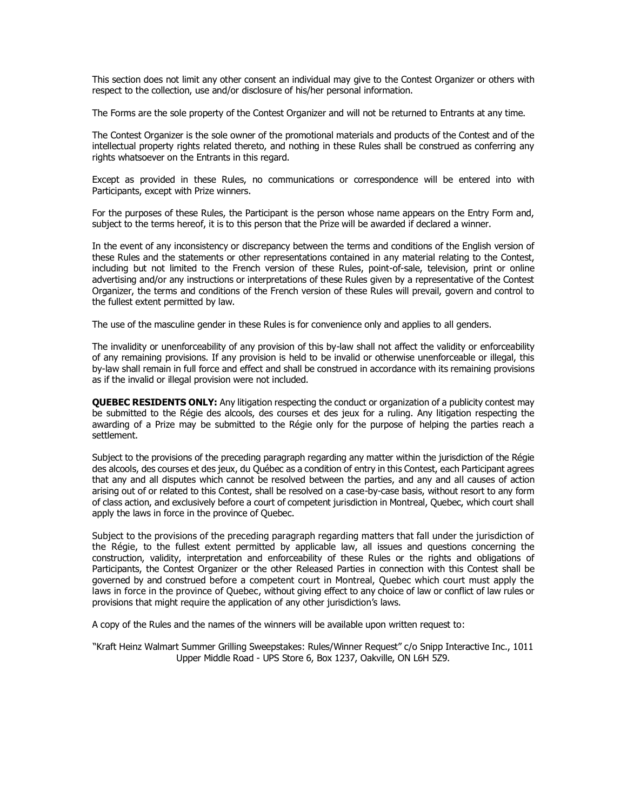This section does not limit any other consent an individual may give to the Contest Organizer or others with respect to the collection, use and/or disclosure of his/her personal information.

The Forms are the sole property of the Contest Organizer and will not be returned to Entrants at any time.

The Contest Organizer is the sole owner of the promotional materials and products of the Contest and of the intellectual property rights related thereto, and nothing in these Rules shall be construed as conferring any rights whatsoever on the Entrants in this regard.

Except as provided in these Rules, no communications or correspondence will be entered into with Participants, except with Prize winners.

For the purposes of these Rules, the Participant is the person whose name appears on the Entry Form and, subject to the terms hereof, it is to this person that the Prize will be awarded if declared a winner.

In the event of any inconsistency or discrepancy between the terms and conditions of the English version of these Rules and the statements or other representations contained in any material relating to the Contest, including but not limited to the French version of these Rules, point-of-sale, television, print or online advertising and/or any instructions or interpretations of these Rules given by a representative of the Contest Organizer, the terms and conditions of the French version of these Rules will prevail, govern and control to the fullest extent permitted by law.

The use of the masculine gender in these Rules is for convenience only and applies to all genders.

The invalidity or unenforceability of any provision of this by-law shall not affect the validity or enforceability of any remaining provisions. If any provision is held to be invalid or otherwise unenforceable or illegal, this by-law shall remain in full force and effect and shall be construed in accordance with its remaining provisions as if the invalid or illegal provision were not included.

**QUEBEC RESIDENTS ONLY:** Any litigation respecting the conduct or organization of a publicity contest may be submitted to the Régie des alcools, des courses et des jeux for a ruling. Any litigation respecting the awarding of a Prize may be submitted to the Régie only for the purpose of helping the parties reach a settlement.

Subject to the provisions of the preceding paragraph regarding any matter within the jurisdiction of the Régie des alcools, des courses et des jeux, du Québec as a condition of entry in this Contest, each Participant agrees that any and all disputes which cannot be resolved between the parties, and any and all causes of action arising out of or related to this Contest, shall be resolved on a case-by-case basis, without resort to any form of class action, and exclusively before a court of competent jurisdiction in Montreal, Quebec, which court shall apply the laws in force in the province of Quebec.

Subject to the provisions of the preceding paragraph regarding matters that fall under the jurisdiction of the Régie, to the fullest extent permitted by applicable law, all issues and questions concerning the construction, validity, interpretation and enforceability of these Rules or the rights and obligations of Participants, the Contest Organizer or the other Released Parties in connection with this Contest shall be governed by and construed before a competent court in Montreal, Quebec which court must apply the laws in force in the province of Quebec, without giving effect to any choice of law or conflict of law rules or provisions that might require the application of any other jurisdiction's laws.

A copy of the Rules and the names of the winners will be available upon written request to:

"Kraft Heinz Walmart Summer Grilling Sweepstakes: Rules/Winner Request" c/o Snipp Interactive Inc., 1011 Upper Middle Road - UPS Store 6, Box 1237, Oakville, ON L6H 5Z9.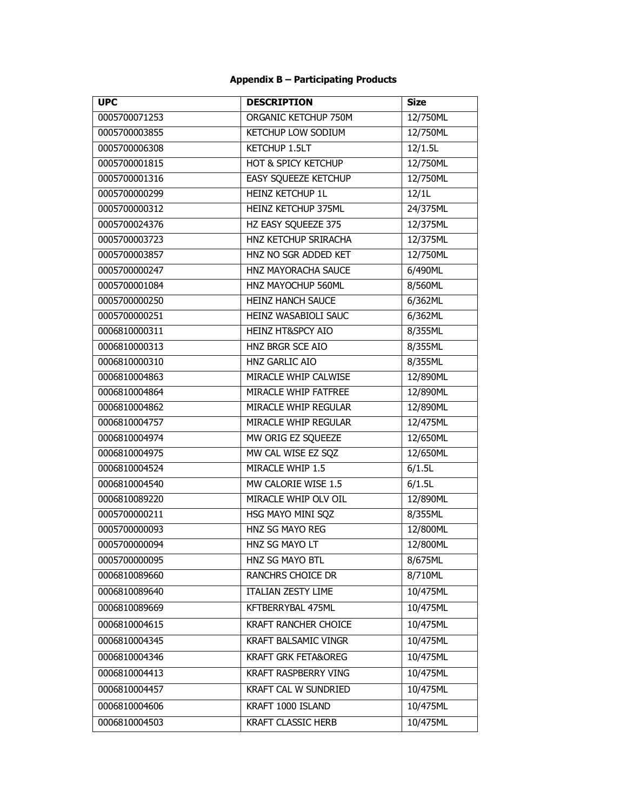# **Appendix B – Participating Products**

| <b>UPC</b>    | <b>DESCRIPTION</b>             | <b>Size</b> |
|---------------|--------------------------------|-------------|
| 0005700071253 | ORGANIC KETCHUP 750M           | 12/750ML    |
| 0005700003855 | KETCHUP LOW SODIUM             | 12/750ML    |
| 0005700006308 | <b>KETCHUP 1.5LT</b>           | 12/1.5L     |
| 0005700001815 | HOT & SPICY KETCHUP            | 12/750ML    |
| 0005700001316 | <b>EASY SQUEEZE KETCHUP</b>    | 12/750ML    |
| 0005700000299 | <b>HEINZ KETCHUP 1L</b>        | 12/1L       |
| 0005700000312 | <b>HEINZ KETCHUP 375ML</b>     | 24/375ML    |
| 0005700024376 | HZ EASY SQUEEZE 375            | 12/375ML    |
| 0005700003723 | HNZ KETCHUP SRIRACHA           | 12/375ML    |
| 0005700003857 | HNZ NO SGR ADDED KET           | 12/750ML    |
| 0005700000247 | HNZ MAYORACHA SAUCE            | 6/490ML     |
| 0005700001084 | HNZ MAYOCHUP 560ML             | 8/560ML     |
| 0005700000250 | <b>HEINZ HANCH SAUCE</b>       | 6/362ML     |
| 0005700000251 | HEINZ WASABIOLI SAUC           | 6/362ML     |
| 0006810000311 | <b>HEINZ HT&amp;SPCY AIO</b>   | 8/355ML     |
| 0006810000313 | HNZ BRGR SCE AIO               | 8/355ML     |
| 0006810000310 | HNZ GARLIC AIO                 | 8/355ML     |
| 0006810004863 | MIRACLE WHIP CALWISE           | 12/890ML    |
| 0006810004864 | MIRACLE WHIP FATFREE           | 12/890ML    |
| 0006810004862 | MIRACLE WHIP REGULAR           | 12/890ML    |
| 0006810004757 | MIRACLE WHIP REGULAR           | 12/475ML    |
| 0006810004974 | MW ORIG EZ SQUEEZE             | 12/650ML    |
| 0006810004975 | MW CAL WISE EZ SQZ             | 12/650ML    |
| 0006810004524 | MIRACLE WHIP 1.5               | 6/1.5L      |
| 0006810004540 | MW CALORIE WISE 1.5            | 6/1.5L      |
| 0006810089220 | MIRACLE WHIP OLV OIL           | 12/890ML    |
| 0005700000211 | HSG MAYO MINI SQZ              | 8/355ML     |
| 0005700000093 | <b>HNZ SG MAYO REG</b>         | 12/800ML    |
| 0005700000094 | HNZ SG MAYO LT                 | 12/800ML    |
| 0005700000095 | HNZ SG MAYO BTL                | 8/675ML     |
| 0006810089660 | RANCHRS CHOICE DR              | 8/710ML     |
| 0006810089640 | <b>ITALIAN ZESTY LIME</b>      | 10/475ML    |
| 0006810089669 | KFTBERRYBAL 475ML              | 10/475ML    |
| 0006810004615 | <b>KRAFT RANCHER CHOICE</b>    | 10/475ML    |
| 0006810004345 | <b>KRAFT BALSAMIC VINGR</b>    | 10/475ML    |
| 0006810004346 | <b>KRAFT GRK FETA&amp;OREG</b> | 10/475ML    |
| 0006810004413 | <b>KRAFT RASPBERRY VING</b>    | 10/475ML    |
| 0006810004457 | KRAFT CAL W SUNDRIED           | 10/475ML    |
| 0006810004606 | KRAFT 1000 ISLAND              | 10/475ML    |
| 0006810004503 | <b>KRAFT CLASSIC HERB</b>      | 10/475ML    |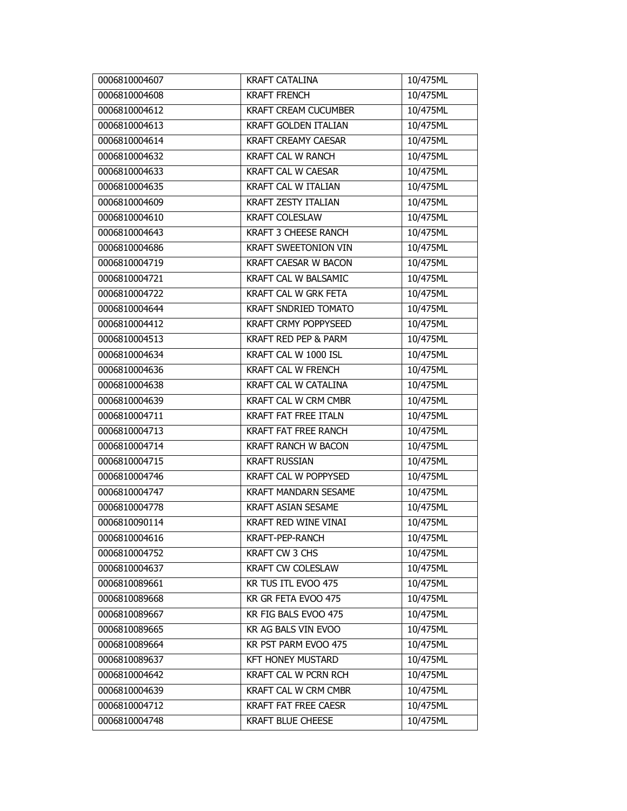| 0006810004607 | <b>KRAFT CATALINA</b>       | 10/475ML               |
|---------------|-----------------------------|------------------------|
| 0006810004608 | <b>KRAFT FRENCH</b>         | 10/475ML               |
| 0006810004612 | <b>KRAFT CREAM CUCUMBER</b> | 10/475ML               |
| 0006810004613 | <b>KRAFT GOLDEN ITALIAN</b> | 10/475ML               |
| 0006810004614 | <b>KRAFT CREAMY CAESAR</b>  | 10/475ML               |
| 0006810004632 | KRAFT CAL W RANCH           | 10/475ML               |
| 0006810004633 | <b>KRAFT CAL W CAESAR</b>   | 10/475ML               |
| 0006810004635 | <b>KRAFT CAL W ITALIAN</b>  | 10/475ML               |
| 0006810004609 | <b>KRAFT ZESTY ITALIAN</b>  | 10/475ML               |
| 0006810004610 | <b>KRAFT COLESLAW</b>       | 10/475ML               |
| 0006810004643 | <b>KRAFT 3 CHEESE RANCH</b> | 10/475ML               |
| 0006810004686 | <b>KRAFT SWEETONION VIN</b> | 10/475ML               |
| 0006810004719 | <b>KRAFT CAESAR W BACON</b> | 10/475ML               |
| 0006810004721 | KRAFT CAL W BALSAMIC        | 10/475ML               |
| 0006810004722 | <b>KRAFT CAL W GRK FETA</b> | 10/475ML               |
| 0006810004644 | KRAFT SNDRIED TOMATO        | 10/475ML               |
| 0006810004412 | <b>KRAFT CRMY POPPYSEED</b> | 10/475ML               |
| 0006810004513 | KRAFT RED PEP & PARM        | 10/475ML               |
| 0006810004634 | KRAFT CAL W 1000 ISL        | 10/475ML               |
| 0006810004636 | KRAFT CAL W FRENCH          | 10/475ML               |
| 0006810004638 | <b>KRAFT CAL W CATALINA</b> | 10/475ML               |
| 0006810004639 | KRAFT CAL W CRM CMBR        | 10/475ML               |
| 0006810004711 | <b>KRAFT FAT FREE ITALN</b> | 10/475ML               |
| 0006810004713 | KRAFT FAT FREE RANCH        | $\overline{10}/475$ ML |
| 0006810004714 | <b>KRAFT RANCH W BACON</b>  | 10/475ML               |
| 0006810004715 | <b>KRAFT RUSSIAN</b>        | 10/475ML               |
| 0006810004746 | KRAFT CAL W POPPYSED        | 10/475ML               |
| 0006810004747 | <b>KRAFT MANDARN SESAME</b> | 10/475ML               |
| 0006810004778 | <b>KRAFT ASIAN SESAME</b>   | 10/475ML               |
| 0006810090114 | <b>KRAFT RED WINE VINAI</b> | 10/475ML               |
| 0006810004616 | KRAFT-PEP-RANCH             | 10/475ML               |
| 0006810004752 | KRAFT CW 3 CHS              | 10/475ML               |
| 0006810004637 | <b>KRAFT CW COLESLAW</b>    | 10/475ML               |
| 0006810089661 | KR TUS ITL EVOO 475         | 10/475ML               |
| 0006810089668 | KR GR FETA EVOO 475         | 10/475ML               |
| 0006810089667 | KR FIG BALS EVOO 475        | 10/475ML               |
| 0006810089665 | KR AG BALS VIN EVOO         | 10/475ML               |
| 0006810089664 | KR PST PARM EVOO 475        | 10/475ML               |
| 0006810089637 | <b>KFT HONEY MUSTARD</b>    | 10/475ML               |
| 0006810004642 | KRAFT CAL W PCRN RCH        | 10/475ML               |
| 0006810004639 | KRAFT CAL W CRM CMBR        | 10/475ML               |
| 0006810004712 | <b>KRAFT FAT FREE CAESR</b> | 10/475ML               |
| 0006810004748 | <b>KRAFT BLUE CHEESE</b>    | 10/475ML               |